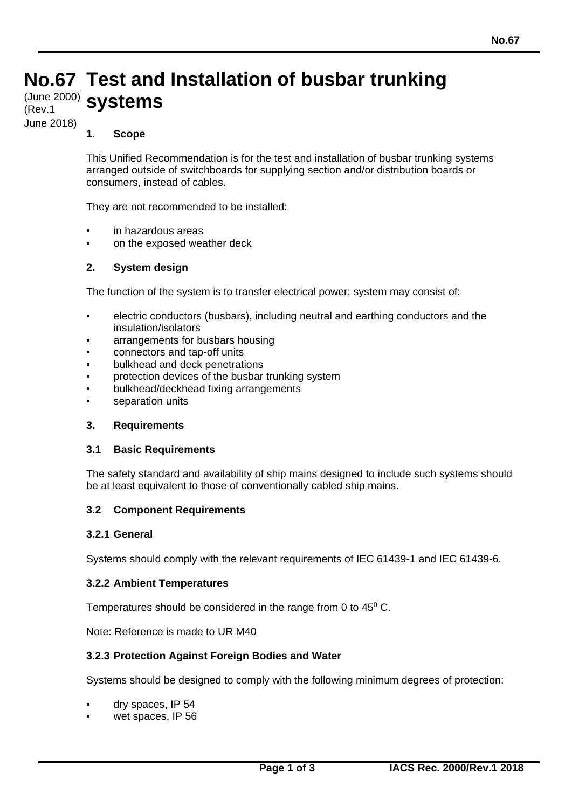# **No.67 Test and Installation of busbar trunking** (June 2000) **systems** (Rev.1

June 2018)

# **1. Scope**

This Unified Recommendation is for the test and installation of busbar trunking systems arranged outside of switchboards for supplying section and/or distribution boards or consumers, instead of cables.

They are not recommended to be installed:

- in hazardous areas
- on the exposed weather deck

# **2. System design**

The function of the system is to transfer electrical power; system may consist of:

- electric conductors (busbars), including neutral and earthing conductors and the insulation/isolators
- arrangements for busbars housing
- connectors and tap-off units
- bulkhead and deck penetrations
- protection devices of the busbar trunking system
- bulkhead/deckhead fixing arrangements
- separation units

#### **3. Requirements**

#### **3.1 Basic Requirements**

The safety standard and availability of ship mains designed to include such systems should be at least equivalent to those of conventionally cabled ship mains.

#### **3.2 Component Requirements**

#### **3.2.1 General**

Systems should comply with the relevant requirements of IEC 61439-1 and IEC 61439-6.

#### **3.2.2 Ambient Temperatures**

Temperatures should be considered in the range from 0 to 45<sup>0</sup> C.

Note: Reference is made to UR M40

#### **3.2.3 Protection Against Foreign Bodies and Water**

Systems should be designed to comply with the following minimum degrees of protection:

- dry spaces, IP 54
- wet spaces, IP 56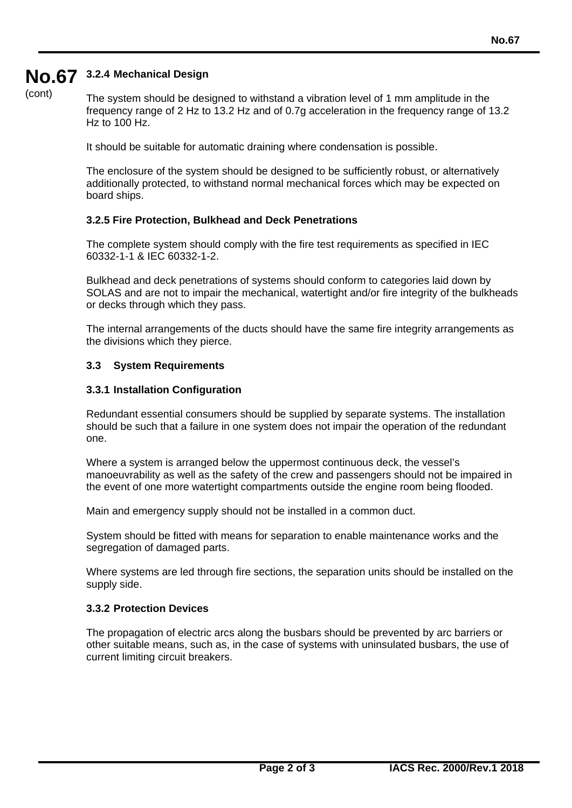# **No.67 3.2.4 Mechanical Design**

(cont)

The system should be designed to withstand a vibration level of 1 mm amplitude in the frequency range of 2 Hz to 13.2 Hz and of 0.7g acceleration in the frequency range of 13.2 Hz to  $100$  Hz.

It should be suitable for automatic draining where condensation is possible.

The enclosure of the system should be designed to be sufficiently robust, or alternatively additionally protected, to withstand normal mechanical forces which may be expected on board ships.

# **3.2.5 Fire Protection, Bulkhead and Deck Penetrations**

The complete system should comply with the fire test requirements as specified in IEC 60332-1-1 & IEC 60332-1-2.

Bulkhead and deck penetrations of systems should conform to categories laid down by SOLAS and are not to impair the mechanical, watertight and/or fire integrity of the bulkheads or decks through which they pass.

The internal arrangements of the ducts should have the same fire integrity arrangements as the divisions which they pierce.

# **3.3 System Requirements**

# **3.3.1 Installation Configuration**

Redundant essential consumers should be supplied by separate systems. The installation should be such that a failure in one system does not impair the operation of the redundant one.

Where a system is arranged below the uppermost continuous deck, the vessel's manoeuvrability as well as the safety of the crew and passengers should not be impaired in the event of one more watertight compartments outside the engine room being flooded.

Main and emergency supply should not be installed in a common duct.

System should be fitted with means for separation to enable maintenance works and the segregation of damaged parts.

Where systems are led through fire sections, the separation units should be installed on the supply side.

# **3.3.2 Protection Devices**

The propagation of electric arcs along the busbars should be prevented by arc barriers or other suitable means, such as, in the case of systems with uninsulated busbars, the use of current limiting circuit breakers.